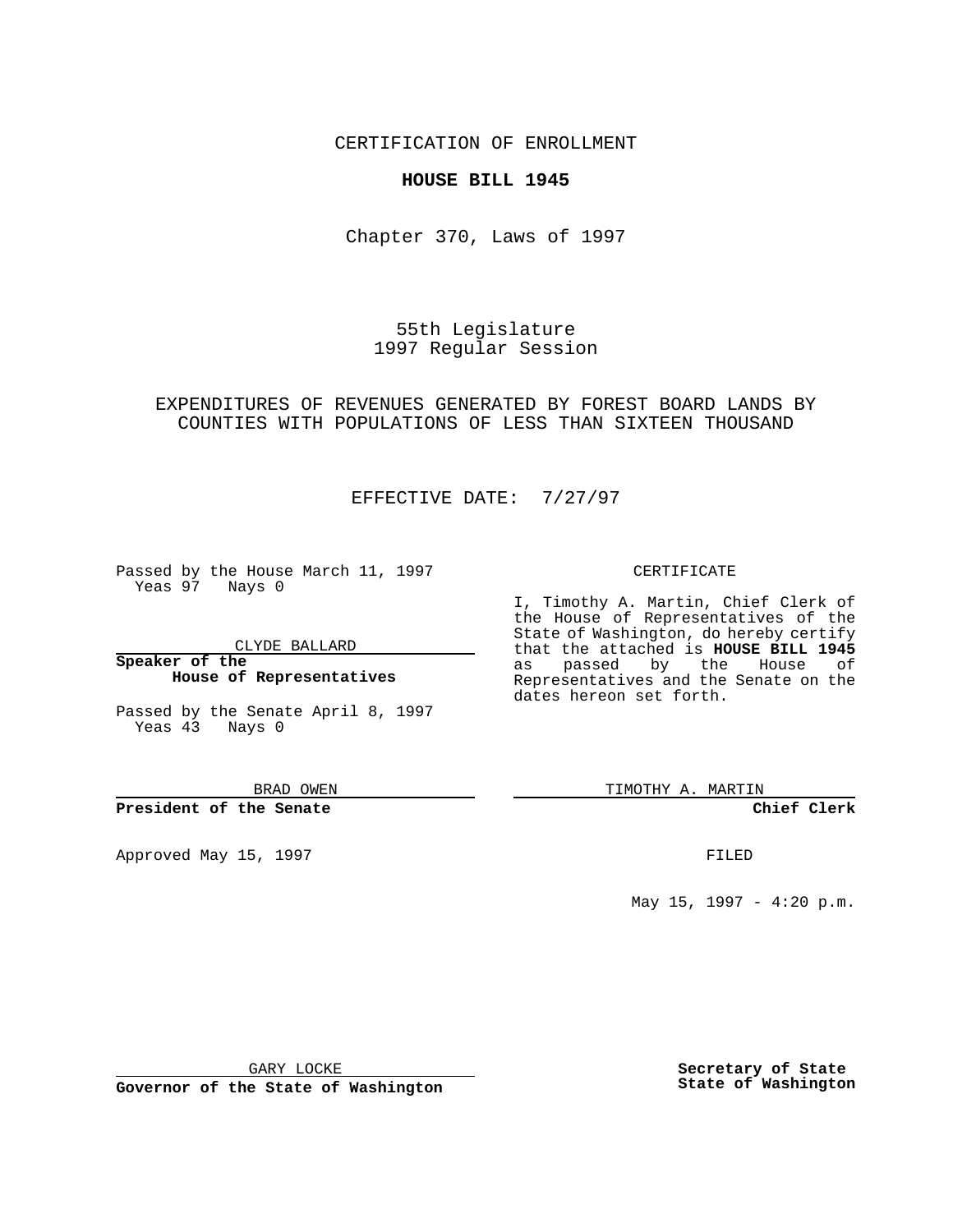CERTIFICATION OF ENROLLMENT

## **HOUSE BILL 1945**

Chapter 370, Laws of 1997

55th Legislature 1997 Regular Session

EXPENDITURES OF REVENUES GENERATED BY FOREST BOARD LANDS BY COUNTIES WITH POPULATIONS OF LESS THAN SIXTEEN THOUSAND

EFFECTIVE DATE: 7/27/97

Passed by the House March 11, 1997 Yeas 97 Nays 0

CLYDE BALLARD

**Speaker of the House of Representatives**

Passed by the Senate April 8, 1997 Yeas 43 Nays 0

BRAD OWEN

**President of the Senate**

Approved May 15, 1997 **FILED** 

CERTIFICATE

I, Timothy A. Martin, Chief Clerk of the House of Representatives of the State of Washington, do hereby certify that the attached is **HOUSE BILL 1945** as passed by the House of Representatives and the Senate on the dates hereon set forth.

TIMOTHY A. MARTIN

**Chief Clerk**

May 15, 1997 - 4:20 p.m.

GARY LOCKE

**Governor of the State of Washington**

**Secretary of State State of Washington**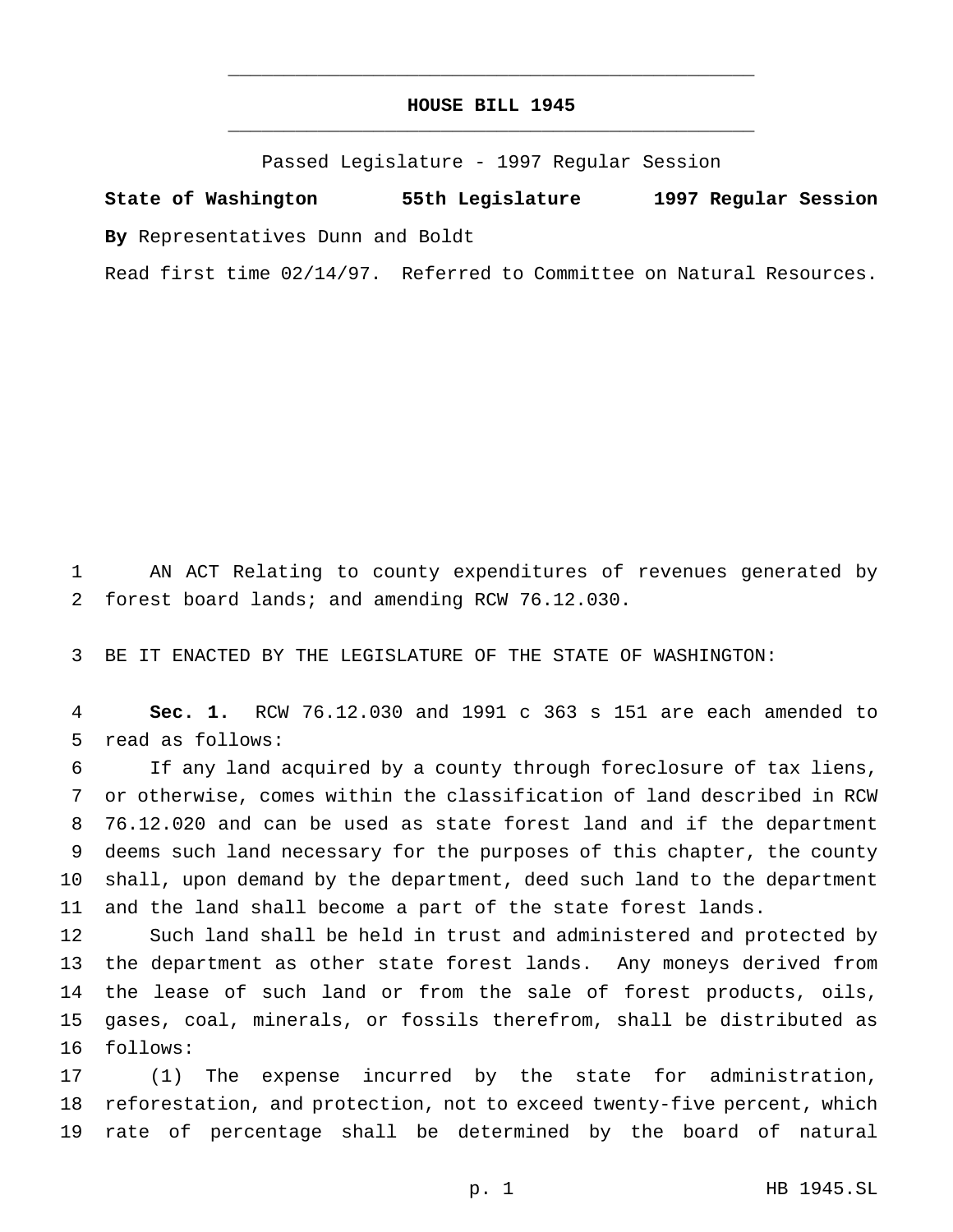## **HOUSE BILL 1945** \_\_\_\_\_\_\_\_\_\_\_\_\_\_\_\_\_\_\_\_\_\_\_\_\_\_\_\_\_\_\_\_\_\_\_\_\_\_\_\_\_\_\_\_\_\_\_

\_\_\_\_\_\_\_\_\_\_\_\_\_\_\_\_\_\_\_\_\_\_\_\_\_\_\_\_\_\_\_\_\_\_\_\_\_\_\_\_\_\_\_\_\_\_\_

Passed Legislature - 1997 Regular Session

**State of Washington 55th Legislature 1997 Regular Session By** Representatives Dunn and Boldt

Read first time 02/14/97. Referred to Committee on Natural Resources.

 AN ACT Relating to county expenditures of revenues generated by forest board lands; and amending RCW 76.12.030.

BE IT ENACTED BY THE LEGISLATURE OF THE STATE OF WASHINGTON:

 **Sec. 1.** RCW 76.12.030 and 1991 c 363 s 151 are each amended to read as follows:

 If any land acquired by a county through foreclosure of tax liens, or otherwise, comes within the classification of land described in RCW 76.12.020 and can be used as state forest land and if the department deems such land necessary for the purposes of this chapter, the county shall, upon demand by the department, deed such land to the department and the land shall become a part of the state forest lands.

 Such land shall be held in trust and administered and protected by the department as other state forest lands. Any moneys derived from 14 the lease of such land or from the sale of forest products, oils, gases, coal, minerals, or fossils therefrom, shall be distributed as follows:

 (1) The expense incurred by the state for administration, reforestation, and protection, not to exceed twenty-five percent, which rate of percentage shall be determined by the board of natural